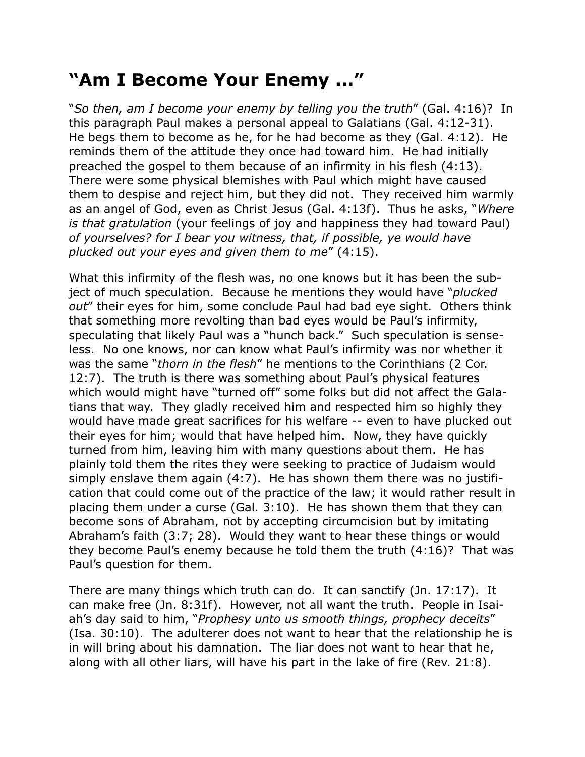## **"Am I Become Your Enemy ..."**

"*So then, am I become your enemy by telling you the truth*" (Gal. 4:16)? In this paragraph Paul makes a personal appeal to Galatians (Gal. 4:12-31). He begs them to become as he, for he had become as they (Gal. 4:12). He reminds them of the attitude they once had toward him. He had initially preached the gospel to them because of an infirmity in his flesh (4:13). There were some physical blemishes with Paul which might have caused them to despise and reject him, but they did not. They received him warmly as an angel of God, even as Christ Jesus (Gal. 4:13f). Thus he asks, "*Where is that gratulation* (your feelings of joy and happiness they had toward Paul) *of yourselves? for I bear you witness, that, if possible, ye would have plucked out your eyes and given them to me*" (4:15).

What this infirmity of the flesh was, no one knows but it has been the subject of much speculation. Because he mentions they would have "*plucked out*" their eyes for him, some conclude Paul had bad eye sight. Others think that something more revolting than bad eyes would be Paul's infirmity, speculating that likely Paul was a "hunch back." Such speculation is senseless. No one knows, nor can know what Paul's infirmity was nor whether it was the same "*thorn in the flesh*" he mentions to the Corinthians (2 Cor. 12:7). The truth is there was something about Paul's physical features which would might have "turned off" some folks but did not affect the Galatians that way. They gladly received him and respected him so highly they would have made great sacrifices for his welfare -- even to have plucked out their eyes for him; would that have helped him. Now, they have quickly turned from him, leaving him with many questions about them. He has plainly told them the rites they were seeking to practice of Judaism would simply enslave them again (4:7). He has shown them there was no justification that could come out of the practice of the law; it would rather result in placing them under a curse (Gal. 3:10). He has shown them that they can become sons of Abraham, not by accepting circumcision but by imitating Abraham's faith (3:7; 28). Would they want to hear these things or would they become Paul's enemy because he told them the truth (4:16)? That was Paul's question for them.

There are many things which truth can do. It can sanctify (Jn. 17:17). It can make free (Jn. 8:31f). However, not all want the truth. People in Isaiah's day said to him, "*Prophesy unto us smooth things, prophecy deceits*" (Isa. 30:10). The adulterer does not want to hear that the relationship he is in will bring about his damnation. The liar does not want to hear that he, along with all other liars, will have his part in the lake of fire (Rev. 21:8).